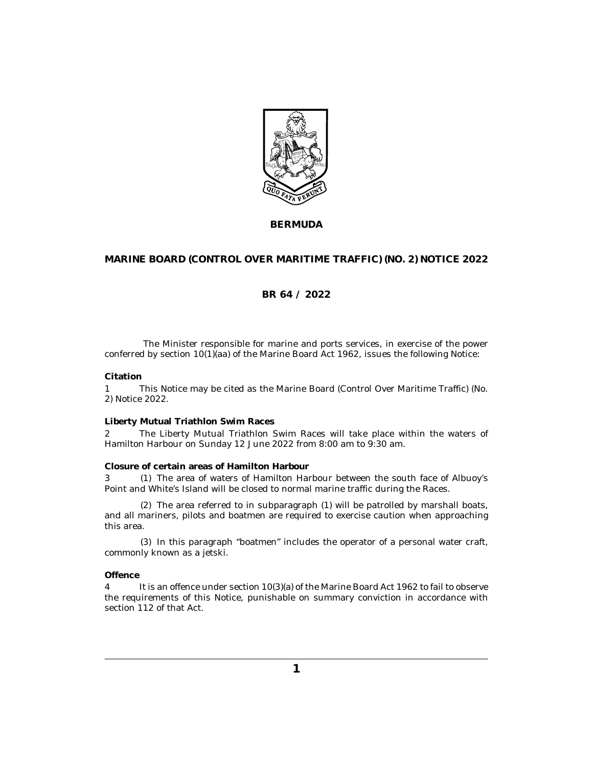

**BERMUDA**

## **MARINE BOARD (CONTROL OVER MARITIME TRAFFIC) (NO. 2) NOTICE 2022**

## **BR 64 / 2022**

The Minister responsible for marine and ports services, in exercise of the power conferred by section 10(1)(aa) of the Marine Board Act 1962, issues the following Notice:

### **Citation**

This Notice may be cited as the Marine Board (Control Over Maritime Traffic) (No. 2) Notice 2022. 1

### **Liberty Mutual Triathlon Swim Races**

The Liberty Mutual Triathlon Swim Races will take place within the waters of Hamilton Harbour on Sunday 12 June 2022 from 8:00 am to 9:30 am. 2

#### **Closure of certain areas of Hamilton Harbour**

3 (1) The area of waters of Hamilton Harbour between the south face of Albuoy's Point and White's Island will be closed to normal marine traffic during the Races.

The area referred to in subparagraph (1) will be patrolled by marshall boats, (2) and all mariners, pilots and boatmen are required to exercise caution when approaching this area.

 $(3)$  In this paragraph "boatmen" includes the operator of a personal water craft, commonly known as a jetski.

## **Offence**

It is an offence under section 10(3)(a) of the Marine Board Act 1962 to fail to observe the requirements of this Notice, punishable on summary conviction in accordance with section 112 of that Act. 4

**1**